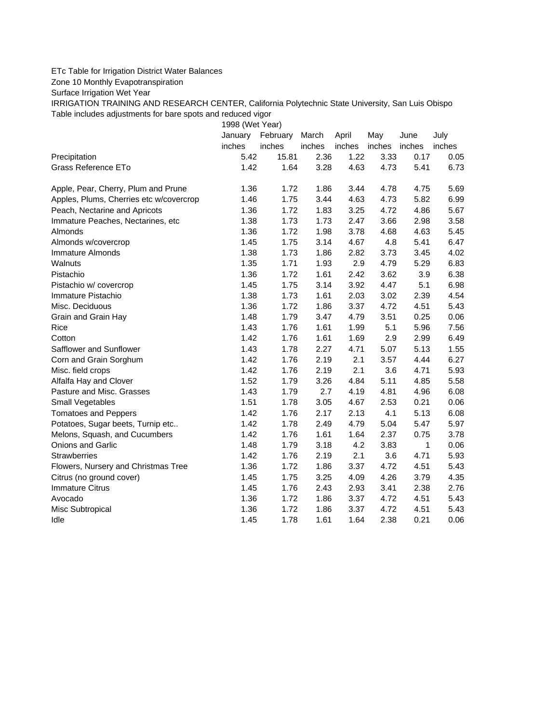## ETc Table for Irrigation District Water Balances

Zone 10 Monthly Evapotranspiration

Surface Irrigation Wet Year

IRRIGATION TRAINING AND RESEARCH CENTER, California Polytechnic State University, San Luis Obispo Table includes adjustments for bare spots and reduced vigor

1998 (Wet Year)

|                                         | January | February | March  | April  | May    | June         | July   |
|-----------------------------------------|---------|----------|--------|--------|--------|--------------|--------|
|                                         | inches  | inches   | inches | inches | inches | inches       | inches |
| Precipitation                           | 5.42    | 15.81    | 2.36   | 1.22   | 3.33   | 0.17         | 0.05   |
| Grass Reference ETo                     | 1.42    | 1.64     | 3.28   | 4.63   | 4.73   | 5.41         | 6.73   |
| Apple, Pear, Cherry, Plum and Prune     | 1.36    | 1.72     | 1.86   | 3.44   | 4.78   | 4.75         | 5.69   |
| Apples, Plums, Cherries etc w/covercrop | 1.46    | 1.75     | 3.44   | 4.63   | 4.73   | 5.82         | 6.99   |
| Peach, Nectarine and Apricots           | 1.36    | 1.72     | 1.83   | 3.25   | 4.72   | 4.86         | 5.67   |
| Immature Peaches, Nectarines, etc       | 1.38    | 1.73     | 1.73   | 2.47   | 3.66   | 2.98         | 3.58   |
| Almonds                                 | 1.36    | 1.72     | 1.98   | 3.78   | 4.68   | 4.63         | 5.45   |
| Almonds w/covercrop                     | 1.45    | 1.75     | 3.14   | 4.67   | 4.8    | 5.41         | 6.47   |
| Immature Almonds                        | 1.38    | 1.73     | 1.86   | 2.82   | 3.73   | 3.45         | 4.02   |
| Walnuts                                 | 1.35    | 1.71     | 1.93   | 2.9    | 4.79   | 5.29         | 6.83   |
| Pistachio                               | 1.36    | 1.72     | 1.61   | 2.42   | 3.62   | 3.9          | 6.38   |
| Pistachio w/ covercrop                  | 1.45    | 1.75     | 3.14   | 3.92   | 4.47   | 5.1          | 6.98   |
| Immature Pistachio                      | 1.38    | 1.73     | 1.61   | 2.03   | 3.02   | 2.39         | 4.54   |
| Misc. Deciduous                         | 1.36    | 1.72     | 1.86   | 3.37   | 4.72   | 4.51         | 5.43   |
| Grain and Grain Hay                     | 1.48    | 1.79     | 3.47   | 4.79   | 3.51   | 0.25         | 0.06   |
| Rice                                    | 1.43    | 1.76     | 1.61   | 1.99   | 5.1    | 5.96         | 7.56   |
| Cotton                                  | 1.42    | 1.76     | 1.61   | 1.69   | 2.9    | 2.99         | 6.49   |
| Safflower and Sunflower                 | 1.43    | 1.78     | 2.27   | 4.71   | 5.07   | 5.13         | 1.55   |
| Corn and Grain Sorghum                  | 1.42    | 1.76     | 2.19   | 2.1    | 3.57   | 4.44         | 6.27   |
| Misc. field crops                       | 1.42    | 1.76     | 2.19   | 2.1    | 3.6    | 4.71         | 5.93   |
| Alfalfa Hay and Clover                  | 1.52    | 1.79     | 3.26   | 4.84   | 5.11   | 4.85         | 5.58   |
| Pasture and Misc. Grasses               | 1.43    | 1.79     | 2.7    | 4.19   | 4.81   | 4.96         | 6.08   |
| Small Vegetables                        | 1.51    | 1.78     | 3.05   | 4.67   | 2.53   | 0.21         | 0.06   |
| <b>Tomatoes and Peppers</b>             | 1.42    | 1.76     | 2.17   | 2.13   | 4.1    | 5.13         | 6.08   |
| Potatoes, Sugar beets, Turnip etc       | 1.42    | 1.78     | 2.49   | 4.79   | 5.04   | 5.47         | 5.97   |
| Melons, Squash, and Cucumbers           | 1.42    | 1.76     | 1.61   | 1.64   | 2.37   | 0.75         | 3.78   |
| Onions and Garlic                       | 1.48    | 1.79     | 3.18   | 4.2    | 3.83   | $\mathbf{1}$ | 0.06   |
| <b>Strawberries</b>                     | 1.42    | 1.76     | 2.19   | 2.1    | 3.6    | 4.71         | 5.93   |
| Flowers, Nursery and Christmas Tree     | 1.36    | 1.72     | 1.86   | 3.37   | 4.72   | 4.51         | 5.43   |
| Citrus (no ground cover)                | 1.45    | 1.75     | 3.25   | 4.09   | 4.26   | 3.79         | 4.35   |
| <b>Immature Citrus</b>                  | 1.45    | 1.76     | 2.43   | 2.93   | 3.41   | 2.38         | 2.76   |
| Avocado                                 | 1.36    | 1.72     | 1.86   | 3.37   | 4.72   | 4.51         | 5.43   |
| Misc Subtropical                        | 1.36    | 1.72     | 1.86   | 3.37   | 4.72   | 4.51         | 5.43   |
| Idle                                    | 1.45    | 1.78     | 1.61   | 1.64   | 2.38   | 0.21         | 0.06   |